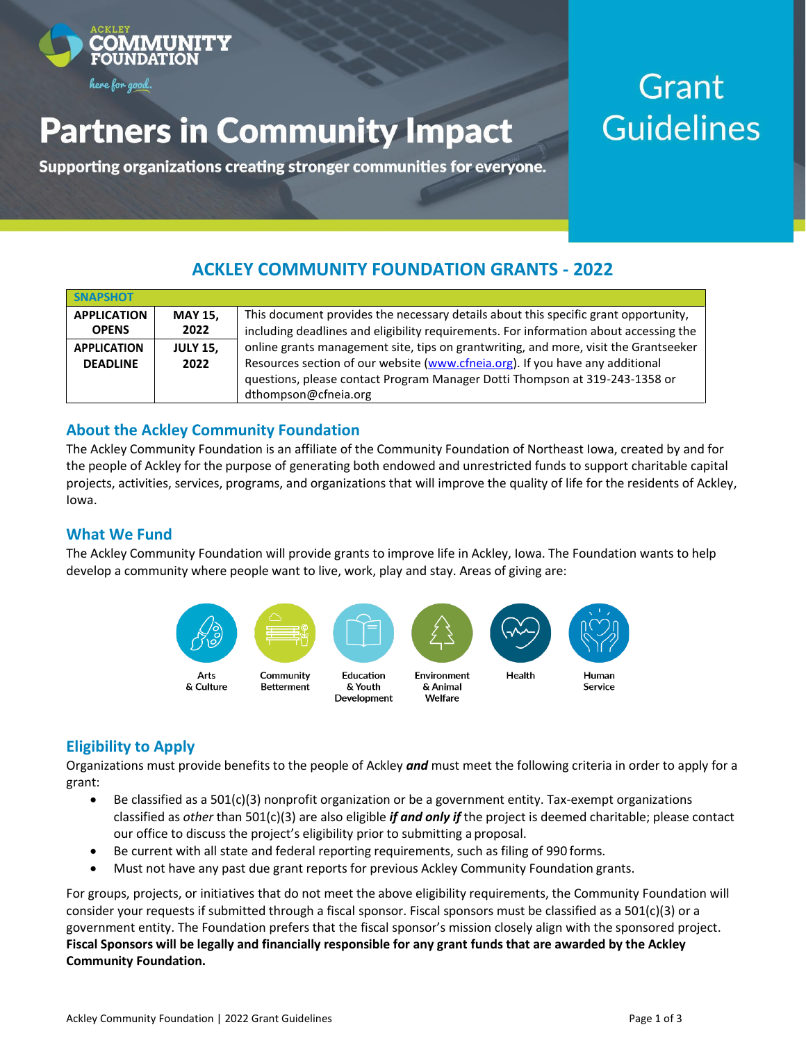

# **Partners in Community Impact**

Supporting organizations creating stronger communities for everyone.

## Grant **Guidelines**

## **ACKLEY COMMUNITY FOUNDATION GRANTS - 2022**

| <b>SNAPSHOT</b>    |                 |                                                                                       |  |
|--------------------|-----------------|---------------------------------------------------------------------------------------|--|
| <b>APPLICATION</b> | <b>MAY 15,</b>  | This document provides the necessary details about this specific grant opportunity,   |  |
| <b>OPENS</b>       | 2022            | including deadlines and eligibility requirements. For information about accessing the |  |
| <b>APPLICATION</b> | <b>JULY 15,</b> | online grants management site, tips on grantwriting, and more, visit the Grantseeker  |  |
| <b>DEADLINE</b>    | 2022            | Resources section of our website (www.cfneia.org). If you have any additional         |  |
|                    |                 | questions, please contact Program Manager Dotti Thompson at 319-243-1358 or           |  |
|                    |                 | dthompson@cfneia.org                                                                  |  |

### **About the Ackley Community Foundation**

The Ackley Community Foundation is an affiliate of the Community Foundation of Northeast Iowa, created by and for the people of Ackley for the purpose of generating both endowed and unrestricted funds to support charitable capital projects, activities, services, programs, and organizations that will improve the quality of life for the residents of Ackley, Iowa.

### **What We Fund**

The Ackley Community Foundation will provide grants to improve life in Ackley, Iowa. The Foundation wants to help develop a community where people want to live, work, play and stay. Areas of giving are:



## **Eligibility to Apply**

Organizations must provide benefits to the people of Ackley *and* must meet the following criteria in order to apply for a grant:

- Be classified as a 501(c)(3) nonprofit organization or be a government entity. Tax-exempt organizations classified as *other* than 501(c)(3) are also eligible *if and only if* the project is deemed charitable; please contact our office to discuss the project's eligibility prior to submitting a proposal.
- Be current with all state and federal reporting requirements, such as filing of 990 forms.
- Must not have any past due grant reports for previous Ackley Community Foundation grants.

For groups, projects, or initiatives that do not meet the above eligibility requirements, the Community Foundation will consider your requests if submitted through a fiscal sponsor. Fiscal sponsors must be classified as a 501(c)(3) or a government entity. The Foundation prefers that the fiscal sponsor's mission closely align with the sponsored project. **Fiscal Sponsors will be legally and financially responsible for any grant funds that are awarded by the Ackley Community Foundation.**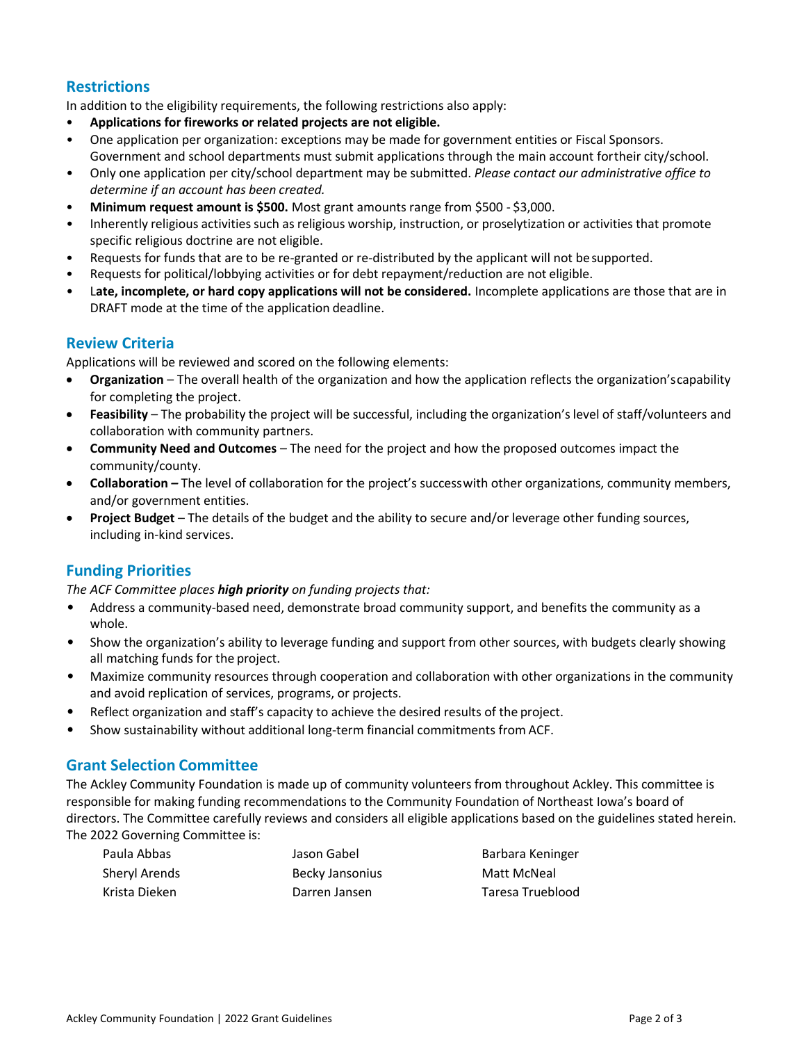## **Restrictions**

In addition to the eligibility requirements, the following restrictions also apply:

- **Applications for fireworks or related projects are not eligible.**
- One application per organization: exceptions may be made for government entities or Fiscal Sponsors. Government and school departments must submit applications through the main account fortheir city/school.
- Only one application per city/school department may be submitted. *Please contact our administrative office to determine if an account has been created.*
- **Minimum request amount is \$500.** Most grant amounts range from \$500 \$3,000.
- Inherently religious activities such as religious worship, instruction, or proselytization or activities that promote specific religious doctrine are not eligible.
- Requests for funds that are to be re-granted or re-distributed by the applicant will not besupported.
- Requests for political/lobbying activities or for debt repayment/reduction are not eligible.
- L**ate, incomplete, or hard copy applications will not be considered.** Incomplete applications are those that are in DRAFT mode at the time of the application deadline.

#### **Review Criteria**

Applications will be reviewed and scored on the following elements:

- **Organization**  The overall health of the organization and how the application reflects the organization'scapability for completing the project.
- **Feasibility** The probability the project will be successful, including the organization'slevel of staff/volunteers and collaboration with community partners.
- **Community Need and Outcomes**  The need for the project and how the proposed outcomes impact the community/county.
- **Collaboration** *–* The level of collaboration for the project's successwith other organizations, community members, and/or government entities.
- **Project Budget**  The details of the budget and the ability to secure and/or leverage other funding sources, including in-kind services.

## **Funding Priorities**

#### *The ACF Committee places high priority on funding projects that:*

- Address a community-based need, demonstrate broad community support, and benefits the community as a whole.
- Show the organization's ability to leverage funding and support from other sources, with budgets clearly showing all matching funds for the project.
- Maximize community resources through cooperation and collaboration with other organizations in the community and avoid replication of services, programs, or projects.
- Reflect organization and staff's capacity to achieve the desired results of the project.
- Show sustainability without additional long-term financial commitments from ACF.

#### **Grant Selection Committee**

The Ackley Community Foundation is made up of community volunteers from throughout Ackley. This committee is responsible for making funding recommendations to the Community Foundation of Northeast Iowa's board of directors. The Committee carefully reviews and considers all eligible applications based on the guidelines stated herein. The 2022 Governing Committee is:

| Paula Abbas   | Jason Gabel     | Barbara Keninger |
|---------------|-----------------|------------------|
| Sheryl Arends | Becky Jansonius | Matt McNeal      |
| Krista Dieken | Darren Jansen   | Taresa Trueblood |